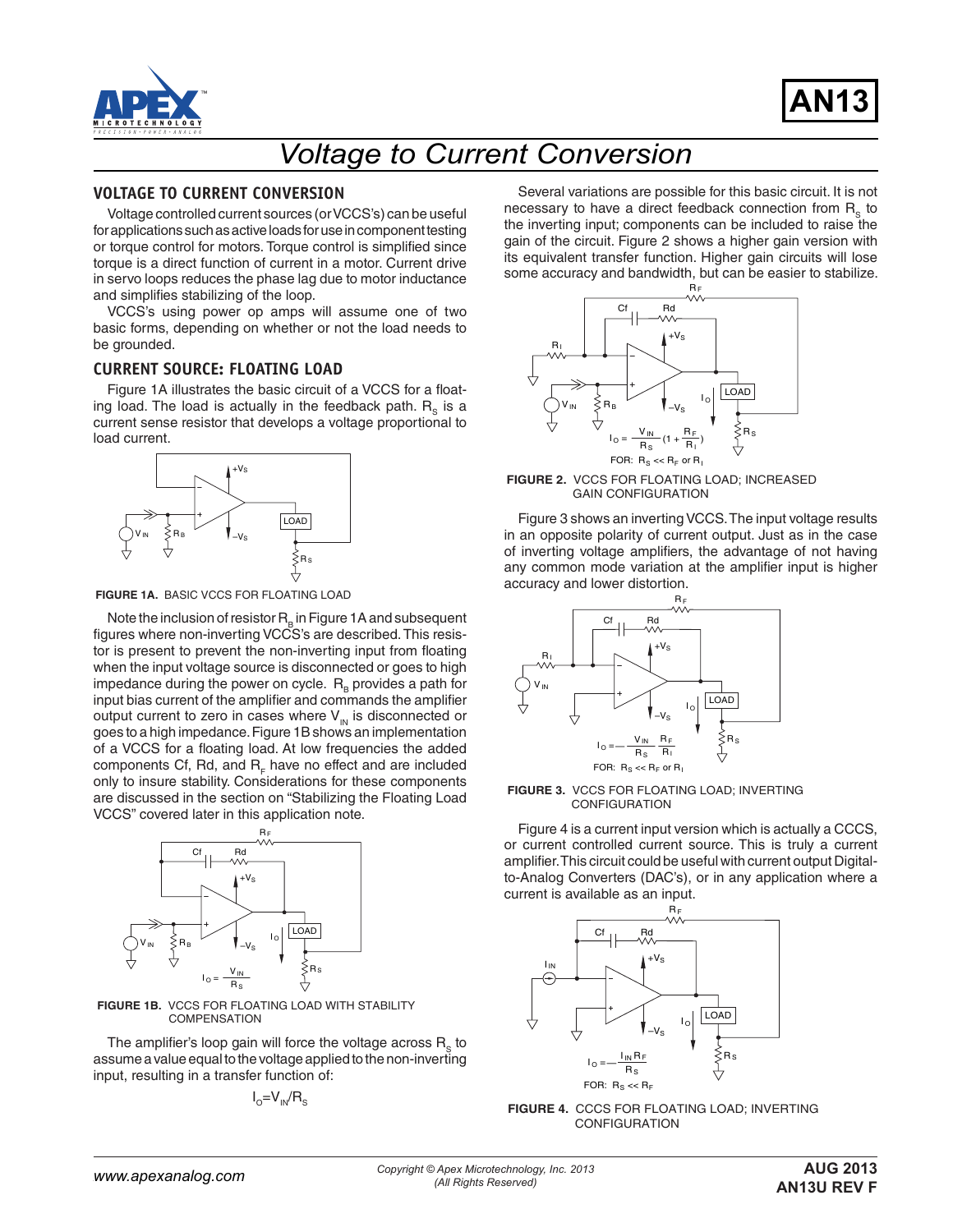



# *Voltage to Current Conversion*

# **VOLTAGE TO CURRENT CONVERSION**

Voltage controlled current sources (or VCCS's) can be useful for applications such as active loads for use in component testing or torque control for motors. Torque control is simplified since torque is a direct function of current in a motor. Current drive in servo loops reduces the phase lag due to motor inductance and simplifies stabilizing of the loop.

VCCS's using power op amps will assume one of two basic forms, depending on whether or not the load needs to be grounded.

# **CURRENT SOURCE: FLOATING LOAD**

Figure 1A illustrates the basic circuit of a VCCS for a floating load. The load is actually in the feedback path.  $R_s$  is a current sense resistor that develops a voltage proportional to load current.



**FIGURE 1A.** BASIC VCCS FOR FLOATING LOAD

Note the inclusion of resistor  $R_{\rm B}$  in Figure 1A and subsequent figures where non-inverting VCCS's are described. This resistor is present to prevent the non-inverting input from floating when the input voltage source is disconnected or goes to high impedance during the power on cycle.  $R_B$  provides a path for input bias current of the amplifier and commands the amplifier output current to zero in cases where  $V_{\text{IN}}$  is disconnected or goes to a high impedance. Figure 1B shows an implementation of a VCCS for a floating load. At low frequencies the added components Cf, Rd, and  $R_E$  have no effect and are included only to insure stability. Considerations for these components are discussed in the section on "Stabilizing the Floating Load VCCS" covered later in this application note.



**FIGURE 1B.** VCCS FOR FLOATING LOAD WITH STABILITY **COMPENSATION** 

The amplifier's loop gain will force the voltage across  $R<sub>s</sub>$  to assume a value equal to the voltage applied to the non-inverting input, resulting in a transfer function of:

$$
I_o=V_{IN}/R_s
$$

Several variations are possible for this basic circuit. It is not necessary to have a direct feedback connection from  $R<sub>c</sub>$  to the inverting input; components can be included to raise the gain of the circuit. Figure 2 shows a higher gain version with its equivalent transfer function. Higher gain circuits will lose some accuracy and bandwidth, but can be easier to stabilize.



**FIGURE 2.** VCCS FOR FLOATING LOAD; INCREASED GAIN CONFIGURATION

Figure 3 shows an inverting VCCS. The input voltage results in an opposite polarity of current output. Just as in the case of inverting voltage amplifiers, the advantage of not having any common mode variation at the amplifier input is higher accuracy and lower distortion.



**FIGURE 3.** VCCS FOR FLOATING LOAD; INVERTING CONFIGURATION

Figure 4 is a current input version which is actually a CCCS, or current controlled current source. This is truly a current amplifier. This circuit could be useful with current output Digitalto-Analog Converters (DAC's), or in any application where a current is available as an input.



**FIGURE 4.** CCCS FOR FLOATING LOAD; INVERTING CONFIGURATION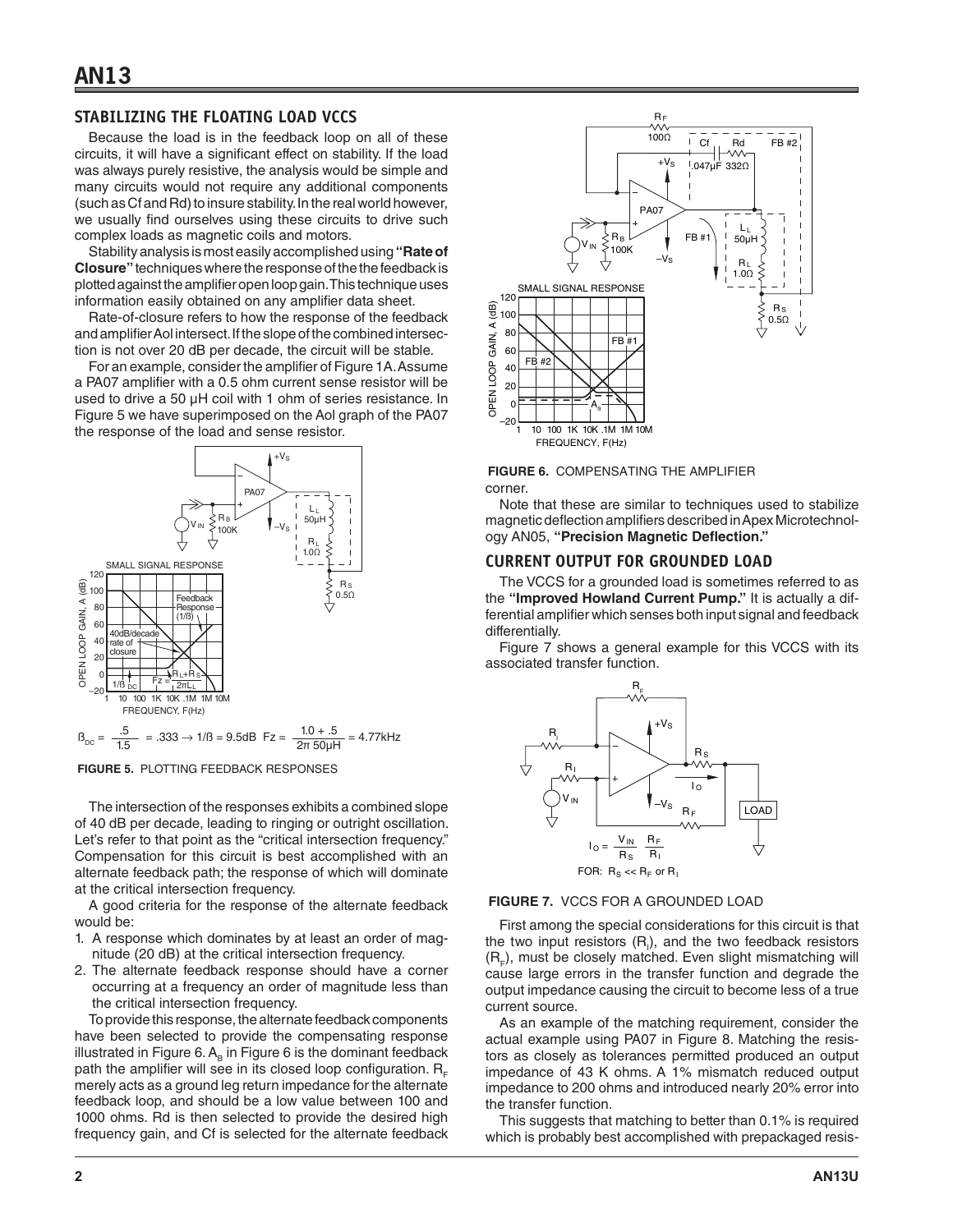# **STABILIZING THE FLOATING LOAD VCCS**

Because the load is in the feedback loop on all of these circuits, it will have a significant effect on stability. If the load was always purely resistive, the analysis would be simple and many circuits would not require any additional components (such as Cf and Rd) to insure stability. In the real world however, we usually find ourselves using these circuits to drive such complex loads as magnetic coils and motors.

Stability analysis is most easily accomplished using **"Rate of Closure"** techniques where the response of the the feedback is plotted against the amplifier open loop gain. This technique uses information easily obtained on any amplifier data sheet.

Rate-of-closure refers to how the response of the feedback and amplifier Aol intersect. If the slope of the combined intersection is not over 20 dB per decade, the circuit will be stable.

For an example, consider the amplifier of Figure 1A. Assume a PA07 amplifier with a 0.5 ohm current sense resistor will be used to drive a 50 µH coil with 1 ohm of series resistance. In Figure 5 we have superimposed on the Aol graph of the PA07 the response of the load and sense resistor.



**FIGURE 5.** PLOTTING FEEDBACK RESPONSES

The intersection of the responses exhibits a combined slope of 40 dB per decade, leading to ringing or outright oscillation. Let's refer to that point as the "critical intersection frequency." Compensation for this circuit is best accomplished with an alternate feedback path; the response of which will dominate at the critical intersection frequency.

A good criteria for the response of the alternate feedback would be:

- 1. A response which dominates by at least an order of magnitude (20 dB) at the critical intersection frequency.
- 2. The alternate feedback response should have a corner occurring at a frequency an order of magnitude less than the critical intersection frequency.

To provide this response, the alternate feedback components have been selected to provide the compensating response illustrated in Figure 6.  $A_B$  in Figure 6 is the dominant feedback path the amplifier will see in its closed loop configuration.  $R_E$ merely acts as a ground leg return impedance for the alternate feedback loop, and should be a low value between 100 and 1000 ohms. Rd is then selected to provide the desired high frequency gain, and Cf is selected for the alternate feedback



**FIGURE 6.** COMPENSATING THE AMPLIFIER

corner.

Note that these are similar to techniques used to stabilize magnetic deflection amplifiers described in Apex Microtechnology AN05, **"Precision Magnetic Deflection."**

#### **CURRENT OUTPUT FOR GROUNDED LOAD**

The VCCS for a grounded load is sometimes referred to as the **"Improved Howland Current Pump."** It is actually a differential amplifier which senses both input signal and feedback differentially.

Figure 7 shows a general example for this VCCS with its associated transfer function.



**FIGURE 7.** VCCS FOR A GROUNDED LOAD

First among the special considerations for this circuit is that the two input resistors  $(R<sub>i</sub>)$ , and the two feedback resistors  $(R<sub>r</sub>)$ , must be closely matched. Even slight mismatching will cause large errors in the transfer function and degrade the output impedance causing the circuit to become less of a true current source.

As an example of the matching requirement, consider the actual example using PA07 in Figure 8. Matching the resistors as closely as tolerances permitted produced an output impedance of 43 K ohms. A 1% mismatch reduced output impedance to 200 ohms and introduced nearly 20% error into the transfer function.

This suggests that matching to better than 0.1% is required which is probably best accomplished with prepackaged resis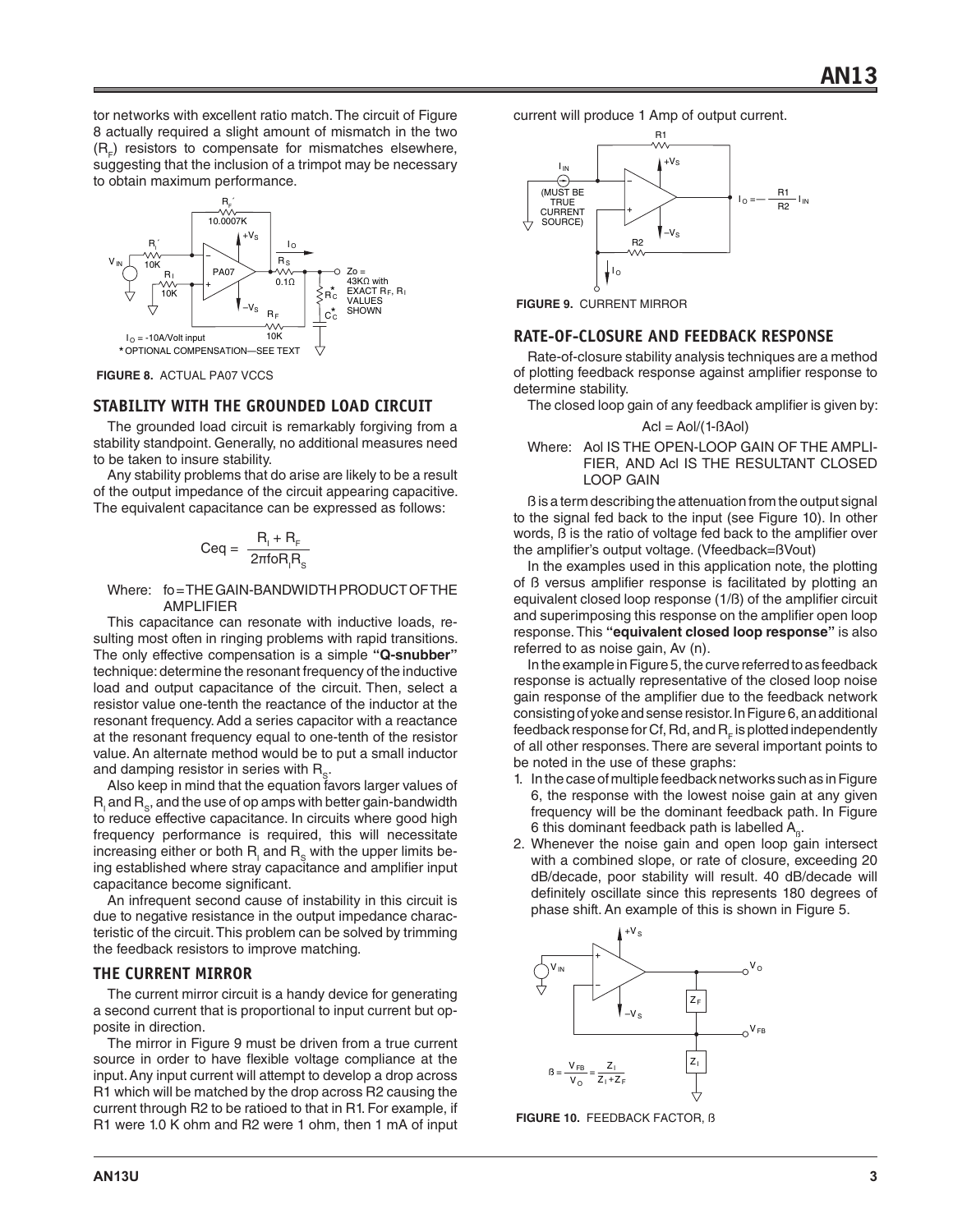tor networks with excellent ratio match. The circuit of Figure 8 actually required a slight amount of mismatch in the two (R<sub>F</sub>) resistors to compensate for mismatches elsewhere, suggesting that the inclusion of a trimpot may be necessary to obtain maximum performance.



**FIGURE 8.** ACTUAL PA07 VCCS

# **STABILITY WITH THE GROUNDED LOAD CIRCUIT**

The grounded load circuit is remarkably forgiving from a stability standpoint. Generally, no additional measures need to be taken to insure stability.

Any stability problems that do arise are likely to be a result of the output impedance of the circuit appearing capacitive. The equivalent capacitance can be expressed as follows:

$$
Ceq = \frac{R_i + R_F}{2\pi f \circ R_i R_S}
$$

#### Where: fo = THE GAIN-BANDWIDTH PRODUCT OF THE AMPLIFIER

This capacitance can resonate with inductive loads, resulting most often in ringing problems with rapid transitions. The only effective compensation is a simple **"Q-snubber"** technique: determine the resonant frequency of the inductive load and output capacitance of the circuit. Then, select a resistor value one-tenth the reactance of the inductor at the resonant frequency. Add a series capacitor with a reactance at the resonant frequency equal to one-tenth of the resistor value. An alternate method would be to put a small inductor and damping resistor in series with  $R_{s}$ .

Also keep in mind that the equation favors larger values of  $\mathsf{R}_{_\mathrm{I}}$  and  $\mathsf{R}_{_\mathrm{S}}$ , and the use of op amps with better gain-bandwidth to reduce effective capacitance. In circuits where good high frequency performance is required, this will necessitate increasing either or both  $\mathsf{R}_{_\mathrm{I}}$  and  $\mathsf{R}_{_\mathrm{S}}$  with the upper limits being established where stray capacitance and amplifier input capacitance become significant.

An infrequent second cause of instability in this circuit is due to negative resistance in the output impedance characteristic of the circuit. This problem can be solved by trimming the feedback resistors to improve matching.

# **THE CURRENT MIRROR**

The current mirror circuit is a handy device for generating a second current that is proportional to input current but opposite in direction.

The mirror in Figure 9 must be driven from a true current source in order to have flexible voltage compliance at the input. Any input current will attempt to develop a drop across R1 which will be matched by the drop across R2 causing the current through R2 to be ratioed to that in R1. For example, if R1 were 1.0 K ohm and R2 were 1 ohm, then 1 mA of input current will produce 1 Amp of output current.



**FIGURE 9.** CURRENT MIRROR

#### **RATE-OF-CLOSURE AND FEEDBACK RESPONSE**

Rate-of-closure stability analysis techniques are a method of plotting feedback response against amplifier response to determine stability.

The closed loop gain of any feedback amplifier is given by:

$$
Acl = Aol/(1 - BAol)
$$

Where: Aol IS THE OPEN-LOOP GAIN OF THE AMPLI-FIER, AND Acl IS THE RESULTANT CLOSED LOOP GAIN

ß is a term describing the attenuation from the output signal to the signal fed back to the input (see Figure 10). In other words, ß is the ratio of voltage fed back to the amplifier over the amplifier's output voltage. (Vfeedback=ßVout)

In the examples used in this application note, the plotting of ß versus amplifier response is facilitated by plotting an equivalent closed loop response (1/ß) of the amplifier circuit and superimposing this response on the amplifier open loop response. This **"equivalent closed loop response"** is also referred to as noise gain, Av (n).

In the example in Figure 5, the curve referred to as feedback response is actually representative of the closed loop noise gain response of the amplifier due to the feedback network consisting of yoke and sense resistor. In Figure 6, an additional feedback response for Cf, Rd, and  $R<sub>r</sub>$  is plotted independently of all other responses. There are several important points to be noted in the use of these graphs:

- 1. In the case of multiple feedback networks such as in Figure 6, the response with the lowest noise gain at any given frequency will be the dominant feedback path. In Figure 6 this dominant feedback path is labelled  $A_{\beta}$ .
- 2. Whenever the noise gain and open loop gain intersect with a combined slope, or rate of closure, exceeding 20 dB/decade, poor stability will result. 40 dB/decade will definitely oscillate since this represents 180 degrees of phase shift. An example of this is shown in Figure 5.



**FIGURE 10.** FEEDBACK FACTOR, ß